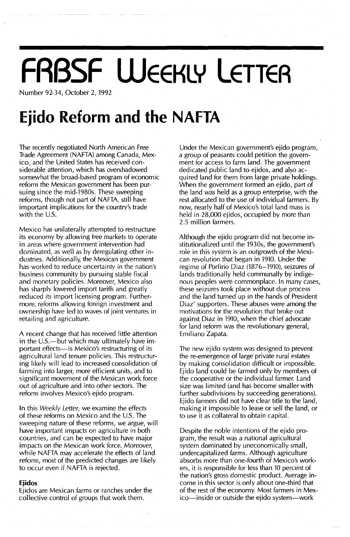# **FABSF WEEKLY LETTER**

Number 92-34, October 2, 1992

## **Ejido Reform and the NAFTA**

The recently negotiated North American Free Trade Agreement (NAFTA) among Canada, Mexico, and the United States has received considerable attention, which has overshadowed somewhat the broad-based program of economic reform the Mexican government has been pursuing since the mid-1980s. These sweeping reforms, though not part of NAFTA, still have important implications for the country's trade with the U.S.

Mexico has unilaterally attempted to restructure its economy by allowing free markets to operate in areas where government intervention had dominated, as well as by deregulating other industries. Additionally, the Mexican government has worked to reduce uncertainty in the nation's business community by pursuing stable fiscal and monetary policies. Moreover, Mexico also has sharply lowered import tariffs and greatly reduced its import licensing program. Furthermore, reforms allowing foreign investment and ownership have led to waves of joint ventures in retailing and agriculture.

A recent change that has received little attention in the U.S.—but which may ultimately have important effects-is Mexico's restructuring of its agricultural land tenure policies. This restructuring likely will lead to increased consolidation of farming into larger, more efficient units, and to significant movement of the Mexican work force out of agriculture and into other sectors. The reform involves Mexico's ejido program.

In this Weekly Letter, we examine the effects of these reforms on Mexico and the U.S. The sweeping nature of these reforms, we argue, will have important impacts on agriculture in both countries, and can be expected to have major impacts on the Mexican work force. Moreover, while NAFTA may accelerate the effects of land reform, most of the predicted changes are likely to occur even if NAFTA is rejected.

#### **Ejidos**

Ejidos are Mexican farms or ranches under the collective control of groups that work them.

Under the Mexican government's ejido program, a group of peasants could petition the government for access to farm land. The government dedicated public land to ejidos, and also acquired land for them from large private'holdings. When the government formed an ejido, part of the land was held as a group enterprise, with the rest allocated to the use of individual farmers. By now, nearly half of Mexico's total land mass is held in 28,000 ejidos, occupied by more than 2.5 million farmers.

Although the ejido program did not become institutionalized until the 1930s, the government's role in this system is an outgrowth of the Mexican revolution that began in 1910. Under the regime of Porfirio Diaz (1876-1910), seizures of lands traditionally held communally by indigenous peoples were commonplace. In many cases, these seizures took place without due process and the land turned up in the hands of President Diaz' supporters. These abuses were among the motivations for the revolution that broke out against Diaz in 1910, when the chief advocate for land reform was the revolutionary general, Emiliano Zapata.

The new ejido system was designed to prevent the re-emergence of large private rural estates by making consolidation difficult or impossible. Ejido land could be farmed only by members of the cooperative or the individual farmer. Land size was limited (and has become smaller with further subdivisions by succeeding generations). Ejido farmers did not have clear title to the land, making it impossible to lease or sell the land, or to use it as collateral to obtain capital.

Despite the noble intentions of the ejido program, the result was a national agricultural system dominated by uneconomically small, undercapitalized farms. Although agriculture absorbs more than one-fourth of Mexico's workers, it is responsible for less than 10 percent of the nation's gross domestic product. Average income in this sector is only about one-third that of the rest of the economy. Most farmers in Mexico—inside or outside the ejido system—work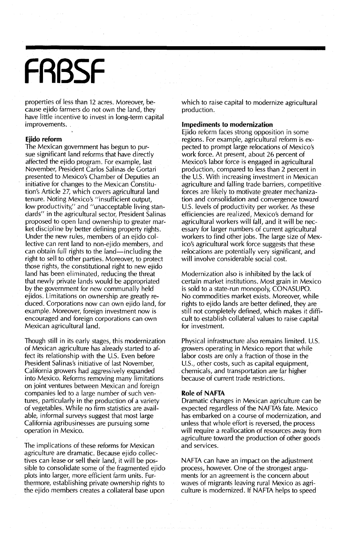# **FABSF**

properties of less than 12 acres. Moreover, because ejido farmers do not own the land, they have little incentive to invest in long-term capital improvements.

#### **Ejido reform**

The Mexican government has begun to pursue significant land reforms that have directly affected the ejido program. For example, last November, President Carlos Salinas de Gortari presented to Mexico's Chamber of Deputies an initiative for changes to the Mexican Constitution's Article 27, which covers agricultural land tenure. Noting Mexico's "insufficient output, low productivity," and "unacceptable living standards" in the agricultural sector, President Salinas proposed to open land ownership to greater market discipline by better defining property rights. Under the new rules, members of an ejido collective can rent land to non-ejido members, and can obtain full rights to the land-including the right to sell to other parties. Moreover, to protect those rights, the constitutional right to new ejido land has been eliminated, reducing the threat that newly private lands would be appropriated by the government for new communally held ejidos. Limitations on ownership are greatly reduced. Corporations now can own ejido land, for example. Moreover, foreign investment now is encouraged and foreign corporations can own Mexican agricultural land.

Though still in its early stages, this modernization of Mexican agriculture has already started to affect its relationship with the U.S. Even before President Salinas's initiative of last November, California growers had aggressively expanded into Mexico. Reforms removing many limitations on joint ventures between Mexican and foreign companies led to a large number of such ventures, particularly in the production of a variety of vegetables. While no firm statistics are available, informal surveys suggest that most large California agribusinesses are pursuing some operation in Mexico.

The implications of these reforms for Mexican agriculture are dramatic. Because ejido collectives can lease or sell their land, it will be possible to consolidate some of the fragmented ejido plots into larger, more efficient farm units. Furthermore, establishing private ownership rights to the ejido members creates a collateral base upon

which to raise capital to modernize agricultural production.

#### **Impediments to modernization**

Ejido reform faces strong opposition in some regions. For example, agricultural reform is expected to prompt large relocations of Mexico's work force. At present, about 26 percent of Mexico's labor force is engaged in agricultural production, compared to less than 2 percent in the U.S. With increasing investment in Mexican agriculture and falling trade barriers, competitive forces are likely to motivate greater mechanization and consolidation and convergence toward U.S. levels of productivity per worker. As these efficiencies are realized, Mexico's demand for agricultural workers will fall, and it will be necessary for larger numbers of current agricultural workers to find other jobs. The large size of Mexico's agricultural work force suggests that these relocations are potentially very significant, and will involve considerable social cost.

Modernization also is inhibited by the lack of certain market institutions. Most grain in Mexico is sold to a state-run monopoly, CONASUPO. No commodities market exists. Moreover, while rights to ejido lands are better defined, they are still not completely defined, which makes it difficult to establish collateral values to raise capital for investment.

Physical infrastructure also remains limited. U.s. growers operating in Mexico report that while labor costs are only a fraction of those in the U.s., other costs, such as capital equipment, chemicals, and transportation are far higher because of current trade restrictions.

#### **Role** of **NAFTA**

Dramatic changes in Mexican agriculture can be expected regardless of the NAFTA's fate. Mexico has embarked on a course of modernization, and unless that whole effort is reversed, the process will require a reallocation of resources away from agriculture toward the production of other goods and services.

NAFTA can have an impact on the adjustment process, however. One of the strongest arguments for an agreement is the concern about waves of migrants leaving rural Mexico as agriculture is modernized. If NAFTA helps to speed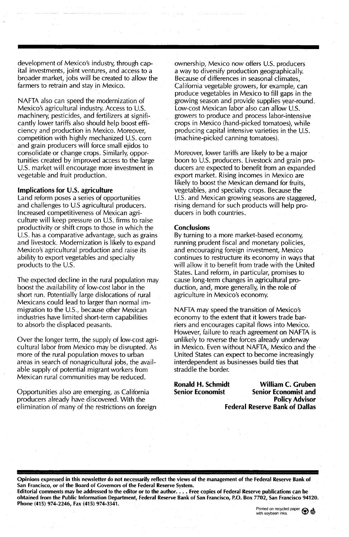development of Mexico's industry, through capital investments, joint ventures, and access to a broader market, jobs will be created to allow the farmers to retrain and stay in Mexico.

NAFTA also can speed the modernization of Mexico's agricultural industry. Access to U.S. machinery, pesticides, and fertilizers at significantly lower tariffs also should help boost efficiency and production in Mexico. Moreover, competition with highly mechanized U.S. corn and grain producers will force small ejidos to consolidate or change crops. Similarly, opportunities created by improved access to the large U.S. market will encourage more investment in vegetable and fruit production.

#### Implications for U.S. agriculture

Land reform poses a series of opportunities and challenges to U.S agricultural producers. Increased competitiveness of Mexican agriculture will keep pressure on U.S. firms to raise productivity or shift crops to those in which the U.S. has a comparative advantage, such as grains and livestock. Modernization is likely to expand Mexico's agricultural production and raise its ability to export vegetables and specialty products to the U.S.

The expected decline in the rural population may boost the availability of low-cost labor in the short run. Potentially large dislocations of rural Mexicans could lead to larger than normal immigration to the U.S., because other Mexican industries have limited short-term capabilities to absorb the displaced peasants.

Over the longer term, the supply of low-cost agricultural labor from Mexico may be disrupted. As more of the rural population moves to urban areas in search of nonagricultural jobs, the available supply of potential migrant workers from Mexican rural communities may be reduced.

Opportunities also are emerging, as California producers already have discovered. With the elimination of many of the restrictions on foreign ownership, Mexico now offers U.s. producers a way to diversify production geographically. Because of differences in seasonal climates, California vegetable growers, for example, can produce vegetables in Mexico to fill gaps in the growing season and provide supplies year-round. Low-cost Mexican labor also can allow U.S. growers to produce and process labor-intensive crops in Mexico (hand-picked tomatoes), while producing capital intensive varieties in the U.S. (machine-picked canning tomatoes).

Moreover, lower tariffs are likely to be a major boon to U.S. producers. Livestock and grain producers are expected to benefit from an expanded export market. Rising incomes in Mexico are likely to boost the Mexican demand for fruits, vegetables, and specialty crops. Because the U.S. and Mexican growing seasons are staggered, rising demand for such products will help producers in both countries.

#### **Conclusions**

By turning to a more market-based economy, running prudent fiscal and monetary policies, and encouraging foreign investment, Mexico continues to restructure its economy in ways that will allow it to benefit from trade with the United States. Land reform, in particular, promises to cause long-term changes in agricultural production, and, more generally, in the role of agriculture in Mexico's economy.

NAFTA may speed the transition of Mexico's economy to the extent that it lowers trade barriers and encourages capital flows into Mexico. However, failure to reach agreement on NAFTA is unlikely to reverse the forces already underway in Mexico. Even without NAFTA, Mexico and the· United States can expect to become increasingly interdependent as businesses build ties that straddle the border.

Ronald H. Schmidt Senior Economist

William C. Gruben Senior Economist and Policy Advisor Federal Reserve Bank of Dallas

Opinions expressed in this newsletter do not necessarily reflect the views of the management of the Federal Reserve Bank of San Francisco, or of the Board of Governors of the Federal Reserve System.

Editorial comments may be addressed to the editor or to the author.... Free copies of Federal Reserve publications can be obtained from the Public Information Department, Federal Reserve Bank of San Francisco, P.O. Box 7702, San Francisco 94120. Phone (415) 974-2246, Fax (415) 974-3341.

Printed on recycled paper  $\bigotimes$